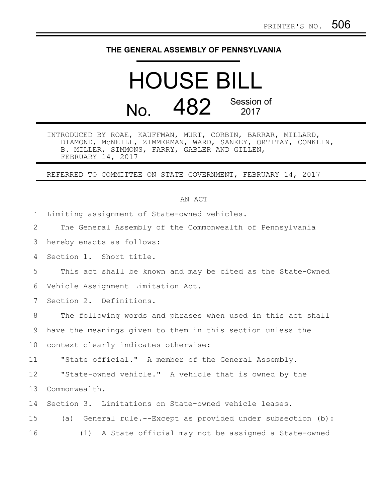## **THE GENERAL ASSEMBLY OF PENNSYLVANIA**

## HOUSE BILL No. 482 Session of

INTRODUCED BY ROAE, KAUFFMAN, MURT, CORBIN, BARRAR, MILLARD, DIAMOND, McNEILL, ZIMMERMAN, WARD, SANKEY, ORTITAY, CONKLIN, B. MILLER, SIMMONS, FARRY, GABLER AND GILLEN, FEBRUARY 14, 2017

REFERRED TO COMMITTEE ON STATE GOVERNMENT, FEBRUARY 14, 2017

## AN ACT

Limiting assignment of State-owned vehicles. 1

The General Assembly of the Commonwealth of Pennsylvania 2

hereby enacts as follows: 3

Section 1. Short title. 4

This act shall be known and may be cited as the State-Owned 5

Vehicle Assignment Limitation Act. 6

Section 2. Definitions. 7

The following words and phrases when used in this act shall 8

have the meanings given to them in this section unless the 9

context clearly indicates otherwise: 10

"State official." A member of the General Assembly. 11

"State-owned vehicle." A vehicle that is owned by the Commonwealth. 12 13

Section 3. Limitations on State-owned vehicle leases. 14

(a) General rule.--Except as provided under subsection (b): (1) A State official may not be assigned a State-owned 15 16